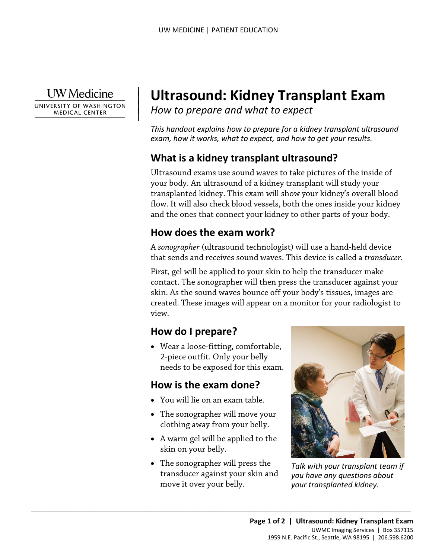**UW** Medicine

 $\overline{\phantom{a}}$ 

UNIVERSITY OF WASHINGTON **MEDICAL CENTER** 

# <sup>|</sup>**Ultrasound: Kidney Transplant Exam** | *How to prepare and what to expect* <sup>|</sup>

*This handout explains how to prepare for a kidney transplant ultrasound exam, how it works, what to expect, and how to get your results.* 

## **What is a kidney transplant ultrasound?**

 flow. It will also check blood vessels, both the ones inside your kidney Ultrasound exams use sound waves to take pictures of the inside of your body. An ultrasound of a kidney transplant will study your transplanted kidney. This exam will show your kidney's overall blood and the ones that connect your kidney to other parts of your body.

#### **How does the exam work?**

 A *sonographer* (ultrasound technologist) will use a hand-held device that sends and receives sound waves. This device is called a *transducer.*

 First, gel will be applied to your skin to help the transducer make skin. As the sound waves bounce off your body's tissues, images are contact. The sonographer will then press the transducer against your created. These images will appear on a monitor for your radiologist to view.

## **How do I prepare?**

• Wear a loose-fitting, comfortable, 2-piece outfit. Only your belly needs to be exposed for this exam.

#### **How is the exam done?**

- You will lie on an exam table.
- The sonographer will move your clothing away from your belly.
- A warm gel will be applied to the skin on your belly.
- The sonographer will press the transducer against your skin and move it over your belly.

 $\_$  ,  $\_$  ,  $\_$  ,  $\_$  ,  $\_$  ,  $\_$  ,  $\_$  ,  $\_$  ,  $\_$  ,  $\_$  ,  $\_$  ,  $\_$  ,  $\_$  ,  $\_$  ,  $\_$  ,  $\_$  ,  $\_$  ,  $\_$  ,  $\_$  ,  $\_$  ,  $\_$  ,  $\_$  ,  $\_$  ,  $\_$  ,  $\_$  ,  $\_$  ,  $\_$  ,  $\_$  ,  $\_$  ,  $\_$  ,  $\_$  ,  $\_$  ,  $\_$  ,  $\_$  ,  $\_$  ,  $\_$  ,  $\_$  ,



*Talk with your transplant team if you have any questions about your transplanted kidney.*